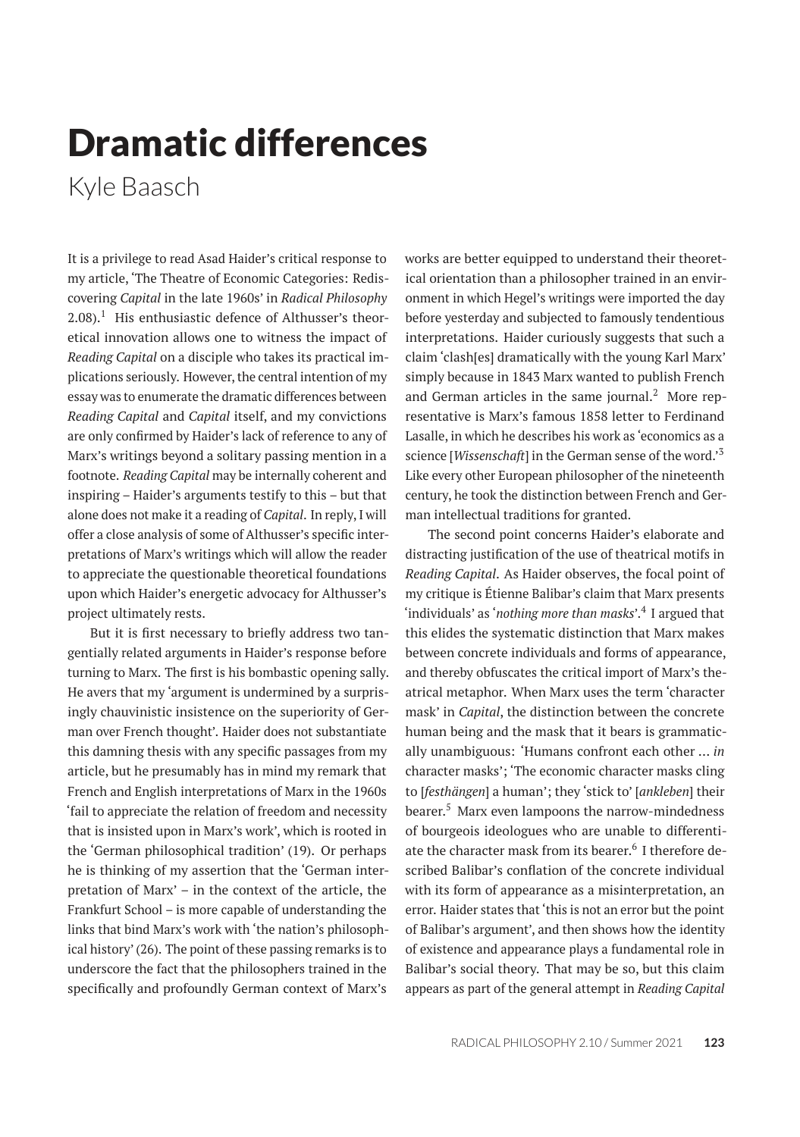## Dramatic differences

Kyle Baasch

It is a privilege to read Asad Haider's critical response to my article, 'The Theatre of Economic Categories: Rediscovering *Capital* in the late 1960s' in *Radical Philosophy*  $2.08$ ).<sup>1</sup> His enthusiastic defence of Althusser's theoretical innovation allows one to witness the impact of *Reading Capital* on a disciple who takes its practical implications seriously. However, the central intention of my essay was to enumerate the dramatic differences between *Reading Capital* and *Capital* itself, and my convictions are only confirmed by Haider's lack of reference to any of Marx's writings beyond a solitary passing mention in a footnote. *Reading Capital* may be internally coherent and inspiring – Haider's arguments testify to this – but that alone does not make it a reading of *Capital*. In reply, I will offer a close analysis of some of Althusser's specific interpretations of Marx's writings which will allow the reader to appreciate the questionable theoretical foundations upon which Haider's energetic advocacy for Althusser's project ultimately rests.

But it is first necessary to briefly address two tangentially related arguments in Haider's response before turning to Marx. The first is his bombastic opening sally. He avers that my 'argument is undermined by a surprisingly chauvinistic insistence on the superiority of German over French thought'. Haider does not substantiate this damning thesis with any specific passages from my article, but he presumably has in mind my remark that French and English interpretations of Marx in the 1960s 'fail to appreciate the relation of freedom and necessity that is insisted upon in Marx's work', which is rooted in the 'German philosophical tradition' (19). Or perhaps he is thinking of my assertion that the 'German interpretation of Marx' – in the context of the article, the Frankfurt School – is more capable of understanding the links that bind Marx's work with 'the nation's philosophical history' (26). The point of these passing remarks is to underscore the fact that the philosophers trained in the specifically and profoundly German context of Marx's

works are better equipped to understand their theoretical orientation than a philosopher trained in an environment in which Hegel's writings were imported the day before yesterday and subjected to famously tendentious interpretations. Haider curiously suggests that such a claim 'clash[es] dramatically with the young Karl Marx' simply because in 1843 Marx wanted to publish French and German articles in the same journal. $<sup>2</sup>$  More rep-</sup> resentative is Marx's famous 1858 letter to Ferdinand Lasalle, in which he describes his work as 'economics as a science [*Wissenschaft*] in the German sense of the word.'<sup>3</sup> Like every other European philosopher of the nineteenth century, he took the distinction between French and German intellectual traditions for granted.

The second point concerns Haider's elaborate and distracting justification of the use of theatrical motifs in *Reading Capital*. As Haider observes, the focal point of my critique is Étienne Balibar's claim that Marx presents 'individuals' as '*nothing more than masks*'.<sup>4</sup> I argued that this elides the systematic distinction that Marx makes between concrete individuals and forms of appearance, and thereby obfuscates the critical import of Marx's theatrical metaphor. When Marx uses the term 'character mask' in *Capital*, the distinction between the concrete human being and the mask that it bears is grammatically unambiguous: 'Humans confront each other … *in* character masks'; 'The economic character masks cling to [*festhängen*] a human'; they 'stick to' [*ankleben*] their bearer.<sup>5</sup> Marx even lampoons the narrow-mindedness of bourgeois ideologues who are unable to differentiate the character mask from its bearer.<sup>6</sup> I therefore described Balibar's conflation of the concrete individual with its form of appearance as a misinterpretation, an error. Haider states that 'this is not an error but the point of Balibar's argument', and then shows how the identity of existence and appearance plays a fundamental role in Balibar's social theory. That may be so, but this claim appears as part of the general attempt in *Reading Capital*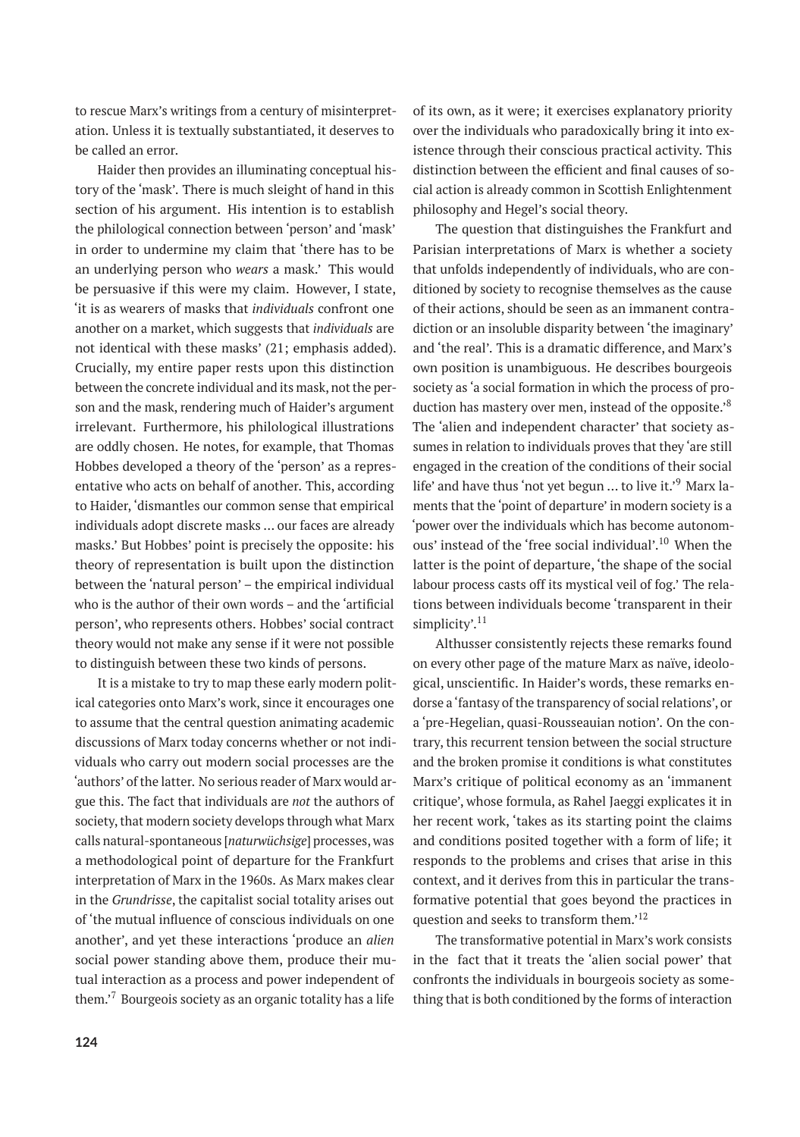to rescue Marx's writings from a century of misinterpretation. Unless it is textually substantiated, it deserves to be called an error.

Haider then provides an illuminating conceptual history of the 'mask'. There is much sleight of hand in this section of his argument. His intention is to establish the philological connection between 'person' and 'mask' in order to undermine my claim that 'there has to be an underlying person who *wears* a mask.' This would be persuasive if this were my claim. However, I state, 'it is as wearers of masks that *individuals* confront one another on a market, which suggests that *individuals* are not identical with these masks' (21; emphasis added). Crucially, my entire paper rests upon this distinction between the concrete individual and its mask, not the person and the mask, rendering much of Haider's argument irrelevant. Furthermore, his philological illustrations are oddly chosen. He notes, for example, that Thomas Hobbes developed a theory of the 'person' as a representative who acts on behalf of another. This, according to Haider, 'dismantles our common sense that empirical individuals adopt discrete masks … our faces are already masks.' But Hobbes' point is precisely the opposite: his theory of representation is built upon the distinction between the 'natural person' – the empirical individual who is the author of their own words – and the 'artificial person', who represents others. Hobbes' social contract theory would not make any sense if it were not possible to distinguish between these two kinds of persons.

It is a mistake to try to map these early modern political categories onto Marx's work, since it encourages one to assume that the central question animating academic discussions of Marx today concerns whether or not individuals who carry out modern social processes are the 'authors' of the latter. No serious reader of Marx would argue this. The fact that individuals are *not* the authors of society, that modern society develops through what Marx calls natural-spontaneous [*naturwüchsige*] processes, was a methodological point of departure for the Frankfurt interpretation of Marx in the 1960s. As Marx makes clear in the *Grundrisse*, the capitalist social totality arises out of 'the mutual influence of conscious individuals on one another', and yet these interactions 'produce an *alien* social power standing above them, produce their mutual interaction as a process and power independent of them.'<sup>7</sup> Bourgeois society as an organic totality has a life

of its own, as it were; it exercises explanatory priority over the individuals who paradoxically bring it into existence through their conscious practical activity. This distinction between the efficient and final causes of social action is already common in Scottish Enlightenment philosophy and Hegel's social theory.

The question that distinguishes the Frankfurt and Parisian interpretations of Marx is whether a society that unfolds independently of individuals, who are conditioned by society to recognise themselves as the cause of their actions, should be seen as an immanent contradiction or an insoluble disparity between 'the imaginary' and 'the real'. This is a dramatic difference, and Marx's own position is unambiguous. He describes bourgeois society as 'a social formation in which the process of production has mastery over men, instead of the opposite.'<sup>8</sup> The 'alien and independent character' that society assumes in relation to individuals proves that they 'are still engaged in the creation of the conditions of their social life' and have thus 'not yet begun ... to live it.'<sup>9</sup> Marx laments that the 'point of departure' in modern society is a 'power over the individuals which has become autonomous' instead of the 'free social individual'.<sup>10</sup> When the latter is the point of departure, 'the shape of the social labour process casts off its mystical veil of fog.' The relations between individuals become 'transparent in their simplicity'. $11$ 

Althusser consistently rejects these remarks found on every other page of the mature Marx as naïve, ideological, unscientific. In Haider's words, these remarks endorse a'fantasy of the transparency of social relations', or a 'pre-Hegelian, quasi-Rousseauian notion'. On the contrary, this recurrent tension between the social structure and the broken promise it conditions is what constitutes Marx's critique of political economy as an 'immanent critique', whose formula, as Rahel Jaeggi explicates it in her recent work, 'takes as its starting point the claims and conditions posited together with a form of life; it responds to the problems and crises that arise in this context, and it derives from this in particular the transformative potential that goes beyond the practices in question and seeks to transform them.<sup>'12</sup>

The transformative potential in Marx's work consists in the fact that it treats the 'alien social power' that confronts the individuals in bourgeois society as something that is both conditioned by the forms of interaction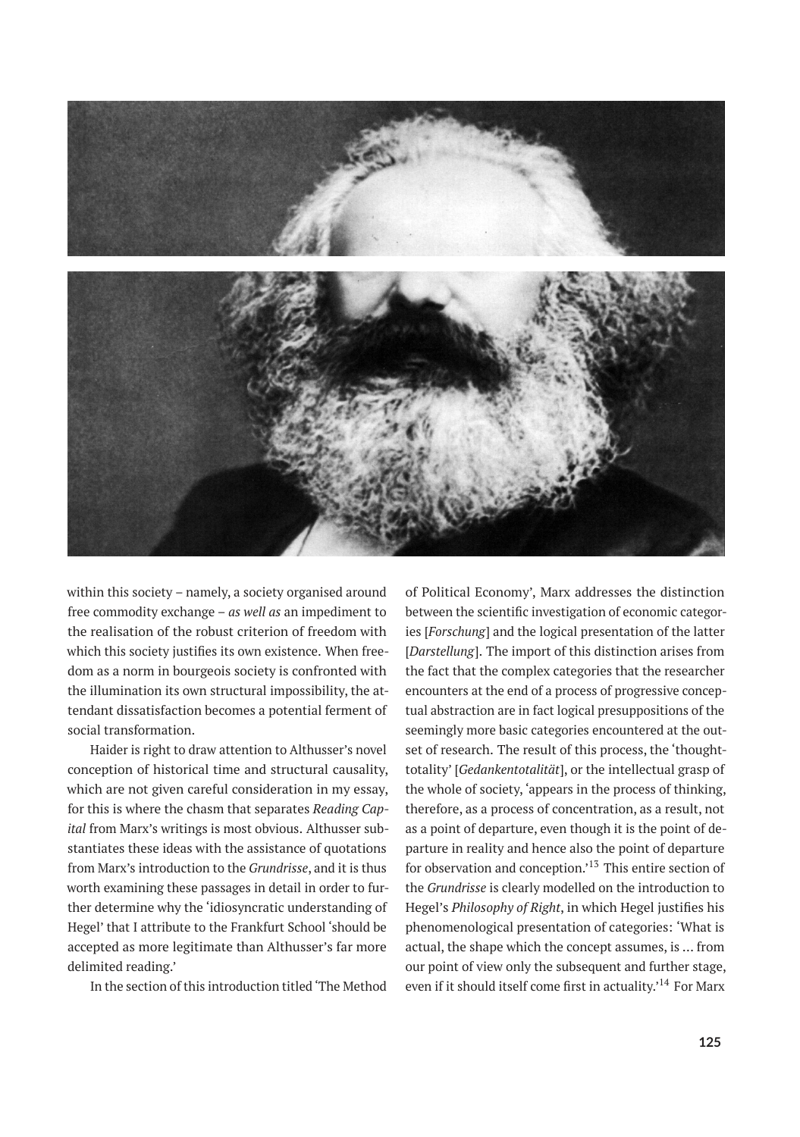

within this society – namely, a society organised around free commodity exchange – *as well as* an impediment to the realisation of the robust criterion of freedom with which this society justifies its own existence. When freedom as a norm in bourgeois society is confronted with the illumination its own structural impossibility, the attendant dissatisfaction becomes a potential ferment of social transformation.

Haider is right to draw attention to Althusser's novel conception of historical time and structural causality, which are not given careful consideration in my essay, for this is where the chasm that separates *Reading Capital* from Marx's writings is most obvious. Althusser substantiates these ideas with the assistance of quotations from Marx's introduction to the *Grundrisse*, and it is thus worth examining these passages in detail in order to further determine why the 'idiosyncratic understanding of Hegel' that I attribute to the Frankfurt School 'should be accepted as more legitimate than Althusser's far more delimited reading.'

In the section of this introduction titled 'The Method

of Political Economy', Marx addresses the distinction between the scientific investigation of economic categories [*Forschung*] and the logical presentation of the latter [*Darstellung*]. The import of this distinction arises from the fact that the complex categories that the researcher encounters at the end of a process of progressive conceptual abstraction are in fact logical presuppositions of the seemingly more basic categories encountered at the outset of research. The result of this process, the 'thoughttotality' [*Gedankentotalität*], or the intellectual grasp of the whole of society, 'appears in the process of thinking, therefore, as a process of concentration, as a result, not as a point of departure, even though it is the point of departure in reality and hence also the point of departure for observation and conception.'<sup>13</sup> This entire section of the *Grundrisse* is clearly modelled on the introduction to Hegel's *Philosophy of Right*, in which Hegel justifies his phenomenological presentation of categories: 'What is actual, the shape which the concept assumes, is … from our point of view only the subsequent and further stage, even if it should itself come first in actuality.'<sup>14</sup> For Marx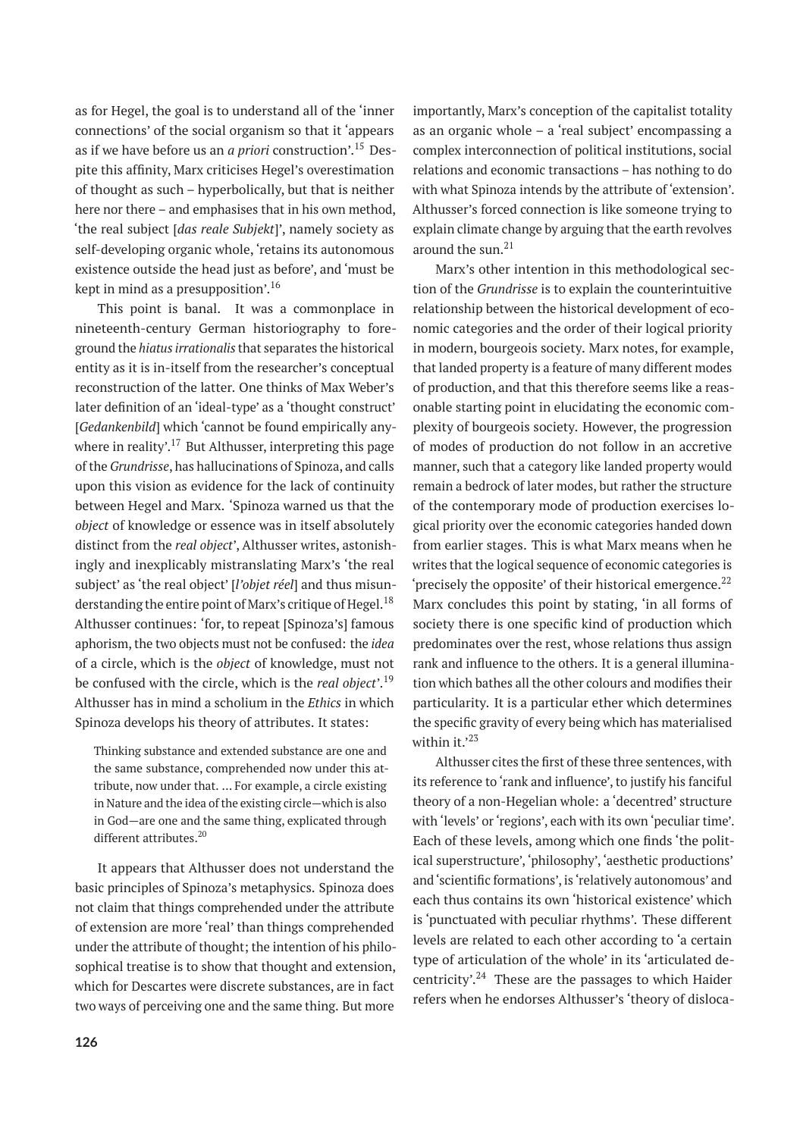as for Hegel, the goal is to understand all of the 'inner connections' of the social organism so that it 'appears as if we have before us an *a priori* construction'.<sup>15</sup> Despite this affinity, Marx criticises Hegel's overestimation of thought as such – hyperbolically, but that is neither here nor there – and emphasises that in his own method, 'the real subject [*das reale Subjekt*]', namely society as self-developing organic whole, 'retains its autonomous existence outside the head just as before', and 'must be kept in mind as a presupposition'.<sup>16</sup>

This point is banal. It was a commonplace in nineteenth-century German historiography to foreground the *hiatus irrationalis* that separates the historical entity as it is in-itself from the researcher's conceptual reconstruction of the latter. One thinks of Max Weber's later definition of an 'ideal-type' as a 'thought construct' [*Gedankenbild*] which 'cannot be found empirically anywhere in reality'.<sup>17</sup> But Althusser, interpreting this page of the *Grundrisse*, has hallucinations of Spinoza, and calls upon this vision as evidence for the lack of continuity between Hegel and Marx. 'Spinoza warned us that the *object* of knowledge or essence was in itself absolutely distinct from the *real object*', Althusser writes, astonishingly and inexplicably mistranslating Marx's 'the real subject' as 'the real object' [*l'objet réel*] and thus misunderstanding the entire point of Marx's critique of Hegel.<sup>18</sup> Althusser continues: 'for, to repeat [Spinoza's] famous aphorism, the two objects must not be confused: the *idea* of a circle, which is the *object* of knowledge, must not be confused with the circle, which is the *real object*'.<sup>19</sup> Althusser has in mind a scholium in the *Ethics* in which Spinoza develops his theory of attributes. It states:

Thinking substance and extended substance are one and the same substance, comprehended now under this attribute, now under that. … For example, a circle existing in Nature and the idea of the existing circle—which is also in God—are one and the same thing, explicated through different attributes.<sup>20</sup>

It appears that Althusser does not understand the basic principles of Spinoza's metaphysics. Spinoza does not claim that things comprehended under the attribute of extension are more 'real' than things comprehended under the attribute of thought; the intention of his philosophical treatise is to show that thought and extension, which for Descartes were discrete substances, are in fact two ways of perceiving one and the same thing. But more

importantly, Marx's conception of the capitalist totality as an organic whole – a 'real subject' encompassing a complex interconnection of political institutions, social relations and economic transactions – has nothing to do with what Spinoza intends by the attribute of 'extension'. Althusser's forced connection is like someone trying to explain climate change by arguing that the earth revolves around the sun. $21$ 

Marx's other intention in this methodological section of the *Grundrisse* is to explain the counterintuitive relationship between the historical development of economic categories and the order of their logical priority in modern, bourgeois society. Marx notes, for example, that landed property is a feature of many different modes of production, and that this therefore seems like a reasonable starting point in elucidating the economic complexity of bourgeois society. However, the progression of modes of production do not follow in an accretive manner, such that a category like landed property would remain a bedrock of later modes, but rather the structure of the contemporary mode of production exercises logical priority over the economic categories handed down from earlier stages. This is what Marx means when he writes that the logical sequence of economic categories is 'precisely the opposite' of their historical emergence.<sup>22</sup> Marx concludes this point by stating, 'in all forms of society there is one specific kind of production which predominates over the rest, whose relations thus assign rank and influence to the others. It is a general illumination which bathes all the other colours and modifies their particularity. It is a particular ether which determines the specific gravity of every being which has materialised within it. $2^3$ 

Althusser cites the first of these three sentences, with its reference to 'rank and influence', to justify his fanciful theory of a non-Hegelian whole: a 'decentred' structure with 'levels' or 'regions', each with its own 'peculiar time'. Each of these levels, among which one finds 'the political superstructure', 'philosophy', 'aesthetic productions' and 'scientific formations', is 'relatively autonomous' and each thus contains its own 'historical existence' which is 'punctuated with peculiar rhythms'. These different levels are related to each other according to 'a certain type of articulation of the whole' in its 'articulated decentricity'.<sup>24</sup> These are the passages to which Haider refers when he endorses Althusser's 'theory of disloca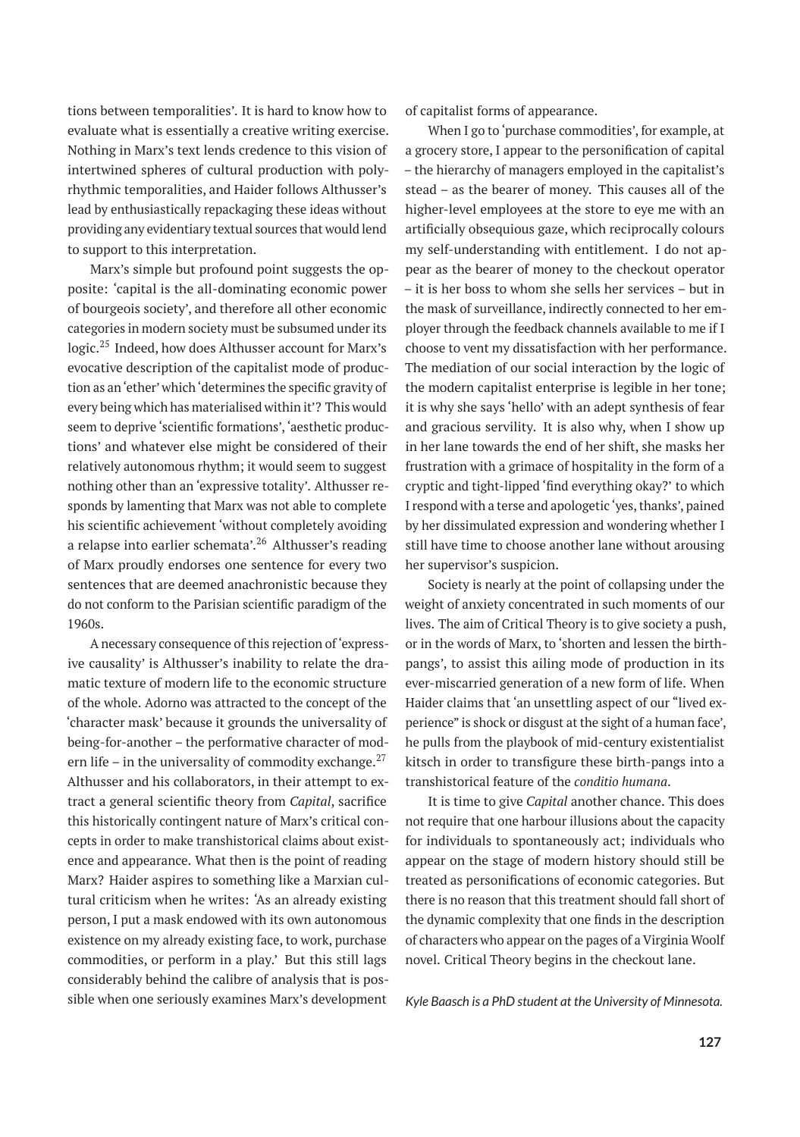tions between temporalities'. It is hard to know how to evaluate what is essentially a creative writing exercise. Nothing in Marx's text lends credence to this vision of intertwined spheres of cultural production with polyrhythmic temporalities, and Haider follows Althusser's lead by enthusiastically repackaging these ideas without providing any evidentiary textual sources that would lend to support to this interpretation.

Marx's simple but profound point suggests the opposite: 'capital is the all-dominating economic power of bourgeois society', and therefore all other economic categories in modern society must be subsumed under its logic.<sup>25</sup> Indeed, how does Althusser account for Marx's evocative description of the capitalist mode of production as an'ether' which'determines the specific gravity of every being which has materialised within it'? This would seem to deprive 'scientific formations', 'aesthetic productions' and whatever else might be considered of their relatively autonomous rhythm; it would seem to suggest nothing other than an 'expressive totality'. Althusser responds by lamenting that Marx was not able to complete his scientific achievement 'without completely avoiding a relapse into earlier schemata'.<sup>26</sup> Althusser's reading of Marx proudly endorses one sentence for every two sentences that are deemed anachronistic because they do not conform to the Parisian scientific paradigm of the 1960s.

A necessary consequence of this rejection of 'expressive causality' is Althusser's inability to relate the dramatic texture of modern life to the economic structure of the whole. Adorno was attracted to the concept of the 'character mask' because it grounds the universality of being-for-another – the performative character of modern life – in the universality of commodity exchange. $^{27}$ Althusser and his collaborators, in their attempt to extract a general scientific theory from *Capital*, sacrifice this historically contingent nature of Marx's critical concepts in order to make transhistorical claims about existence and appearance. What then is the point of reading Marx? Haider aspires to something like a Marxian cultural criticism when he writes: 'As an already existing person, I put a mask endowed with its own autonomous existence on my already existing face, to work, purchase commodities, or perform in a play.' But this still lags considerably behind the calibre of analysis that is possible when one seriously examines Marx's development

of capitalist forms of appearance.

When I go to 'purchase commodities', for example, at a grocery store, I appear to the personification of capital – the hierarchy of managers employed in the capitalist's stead – as the bearer of money. This causes all of the higher-level employees at the store to eye me with an artificially obsequious gaze, which reciprocally colours my self-understanding with entitlement. I do not appear as the bearer of money to the checkout operator – it is her boss to whom she sells her services – but in the mask of surveillance, indirectly connected to her employer through the feedback channels available to me if I choose to vent my dissatisfaction with her performance. The mediation of our social interaction by the logic of the modern capitalist enterprise is legible in her tone; it is why she says 'hello' with an adept synthesis of fear and gracious servility. It is also why, when I show up in her lane towards the end of her shift, she masks her frustration with a grimace of hospitality in the form of a cryptic and tight-lipped 'find everything okay?' to which I respond with a terse and apologetic'yes, thanks', pained by her dissimulated expression and wondering whether I still have time to choose another lane without arousing her supervisor's suspicion.

Society is nearly at the point of collapsing under the weight of anxiety concentrated in such moments of our lives. The aim of Critical Theory is to give society a push, or in the words of Marx, to 'shorten and lessen the birthpangs', to assist this ailing mode of production in its ever-miscarried generation of a new form of life. When Haider claims that 'an unsettling aspect of our "lived experience" is shock or disgust at the sight of a human face', he pulls from the playbook of mid-century existentialist kitsch in order to transfigure these birth-pangs into a transhistorical feature of the *conditio humana*.

It is time to give *Capital* another chance. This does not require that one harbour illusions about the capacity for individuals to spontaneously act; individuals who appear on the stage of modern history should still be treated as personifications of economic categories. But there is no reason that this treatment should fall short of the dynamic complexity that one finds in the description of characters who appear on the pages of a Virginia Woolf novel. Critical Theory begins in the checkout lane.

*Kyle Baasch is a PhD student at the University of Minnesota.*